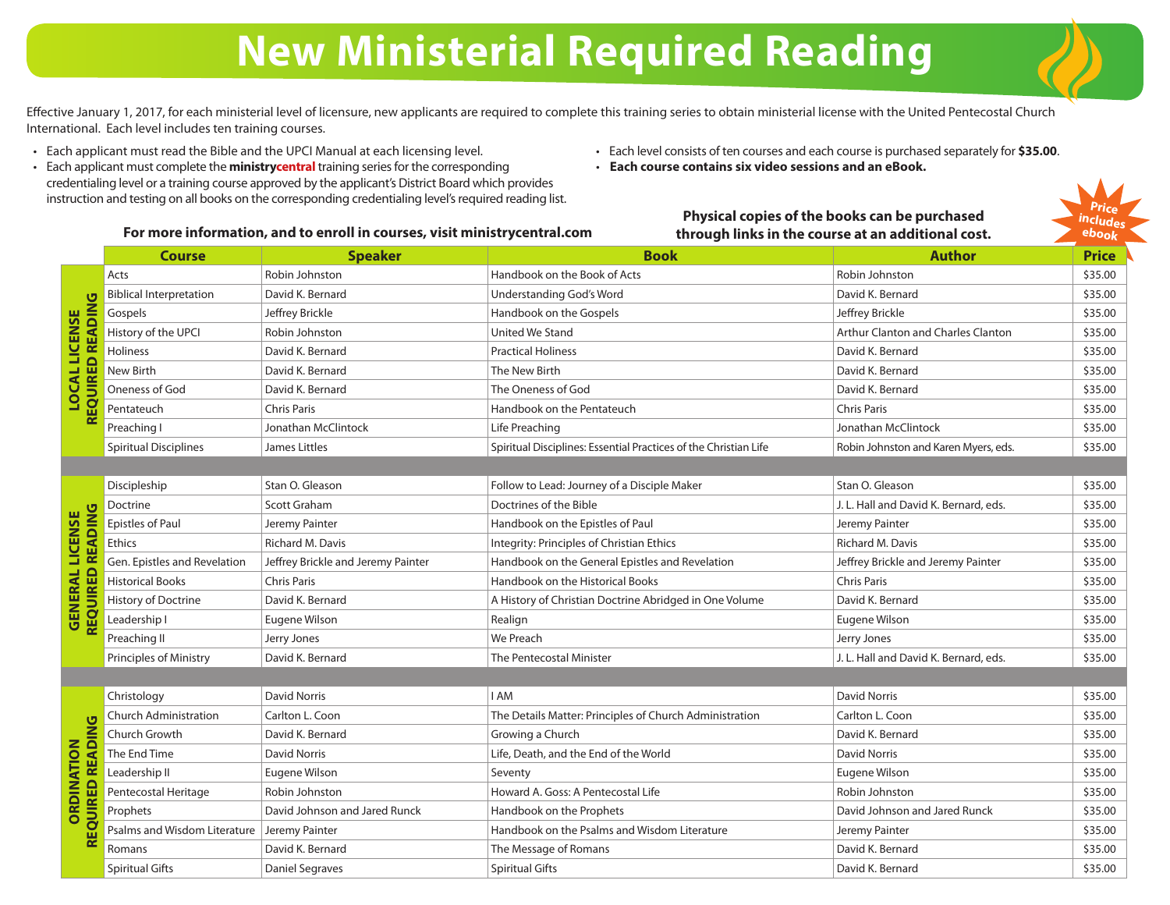## **New Ministerial Required Reading**

Effective January 1, 2017, for each ministerial level of licensure, new applicants are required to complete this training series to obtain ministerial license with the United Pentecostal Church International. Each level includes ten training courses.

- Each applicant must read the Bible and the UPCI Manual at each licensing level.
- Each applicant must complete the **ministrycentral** training series for the corresponding credentialing level or a training course approved by the applicant's District Board which provides instruction and testing on all books on the corresponding credentialing level's required reading list.
- Each level consists of ten courses and each course is purchased separately for **\$35.00**.

**Physical copies of the books can be purchased through links in the course at an additional cost.**

• **Each course contains six video sessions and an eBook.**



### **For more information, and to enroll in courses, visit ministrycentral.com**

#### **Course Speaker Book Author Price** Acts enterprise Robin Johnston Nation Handbook on the Book of Acts Robin Johnston Robin Johnston \$35.00 Biblical Interpretation David K. Bernard David K. Bernard Understanding God's Word David K. Bernard \$35.00  $\sigma$  **REQUIRED READING D READIN LOCAL LICENSE** Gospels Jeffrey Brickle Handbook on the Gospels Jeffrey Brickle \$35.00 **LOCAL LICENSE** History of the UPCI Robin Johnston Nation Arthur Clanton and Charles Clanton | \$35.00 Holiness **Example 20** David K. Bernard **Practical Holiness** Practical Holiness **David K. Bernard A. Bernard \$35.00** EQUIRE New Birth David K. Bernard New Hotel Birth David K. Bernard \$35.00 Oneness of God David K. Bernard **David K. Bernard Coneness of God** David K. Bernard A. Bernard \$35.00 Pentateuch Chris Paris Chris Paris Handbook on the Pentateuch Chris Paris Chris Paris S35.00  $\alpha$ Preaching I Jonathan McClintock Life Preaching Junching Jonathan McClintock \$35.00 Spiritual Disciplines Spiritual Disciplines: Essential Practices of the Christian Life Robin Johnston and Karen Myers, eds. \$35.00 Discipleship Stan O. Gleason Follow to Lead: Journey of a Disciple Maker Stan O. Gleason Stan O. Gleason \$35.00 Doctrine Scott Graham Doctrines of the Bible J. L. Hall and David K. Bernard, eds. \$35.00 READING  **REQUIRED READING GENERAL LICENSE GENERAL LICENSE** Epistles of Paul Jeremy Painter States of Paul Jeremy Painter States of Paul States of Paul Jeremy Painter States of Paul States of Paul Jeremy Painter States of Paul States of Paul Jeremy Painter States of Paul States of Ethics **Richard M. Davis Community: Principles of Christian Ethics** Richard M. Davis Richard M. Davis **1996** Gen. Epistles and Revelation Jeffrey Brickle and Jeremy Painter Handbook on the General Epistles and Revelation Jeffrey Brickle and Jeremy Painter \$35.00 REOUIRED Historical Books Chris Paris Chris Paris Handbook on the Historical Books Chris Paris Chris Paris And the State of State State of State State of State State State State State State of State State State State State State St History of Doctrine David K. Bernard A History of Christian Doctrine Abridged in One Volume David K. Bernard \$35.00 Leadership I Eugene Wilson (Realign Realign Realign Realign Realign Realign Realign Realign Realign Realign Realign Realign Realign Realign Realign Realign Realign Realign Realign Realign Realign Realign Realign Realign Re Preaching II Jerry Jones And Jerry Jones (States and States and Me Preach Jerry Jones Jerry Jones States and States and States and States and States and States and States and States and States and States and States and Sta Principles of Ministry David K. Bernard The Pentecostal Minister The State J. L. Hall and David K. Bernard, eds. \$35.00 Christology David Norris I AM David Norris \$35.00 Church Administration Carlton L. Coon The Details Matter: Principles of Church Administration Carlton L. Coon \$35.00 READING **REQUIRED READING** Church Growth Savid K. Bernard David K. Bernard St. 2010 (Growing a Church David Church David K. Bernard \$35.00 **ORDINATION ORDINATION** The End Time **David Norris Community Community Community** Life, Death, and the End of the World David Norris **David Norris And S35.00** Leadership II Eugene Wilson Seventy Eugene Wilson \$35.00 QUIRED Pentecostal Heritage Robin Johnston Robin Johnston Howard A. Goss: A Pentecostal Life Robin Johnston Robin Johnston \$35.00 Prophets **David Johnson and Jared Runck** Handbook on the Prophets **David Johnson and Jared Runck** \$35.00 Psalms and Wisdom Literature Jeremy Painter **Handbook on the Psalms and Wisdom Literature** Jeremy Painter \$35.00 띥 Romans Channel Chavid K. Bernard Navign States (States are the Message of Romans Navign States and David K. Bernard S35.00 Spiritual Gifts Spiritual Gifts Daniel Segraves Spiritual Gifts Spiritual Gifts David K. Bernard St. David K. Bernard St. 2001